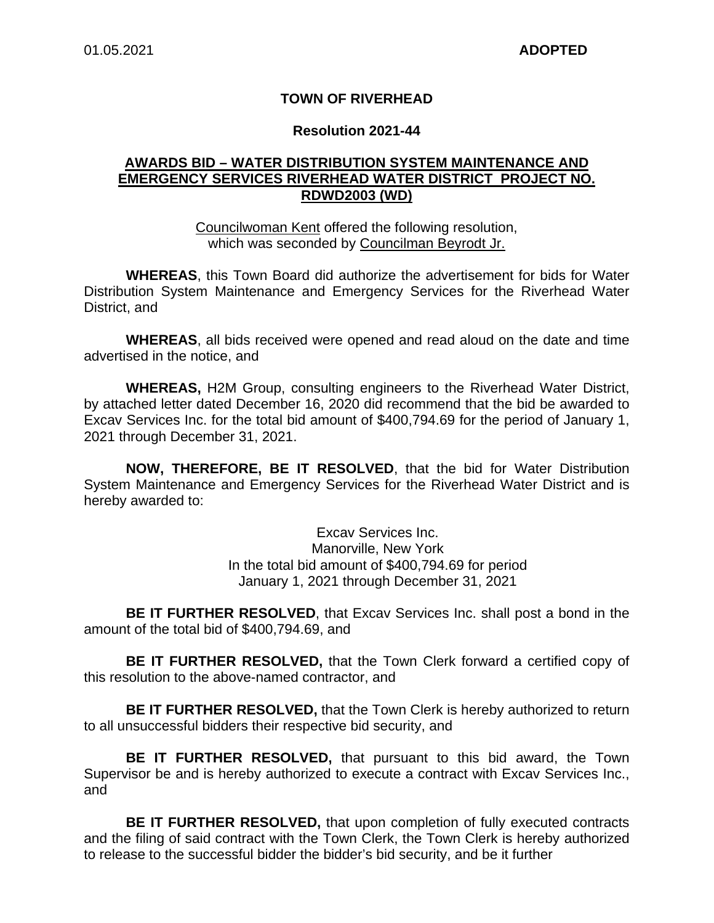### **TOWN OF RIVERHEAD**

#### **Resolution 2021-44**

### **AWARDS BID – WATER DISTRIBUTION SYSTEM MAINTENANCE AND EMERGENCY SERVICES RIVERHEAD WATER DISTRICT PROJECT NO. RDWD2003 (WD)**

Councilwoman Kent offered the following resolution, which was seconded by Councilman Beyrodt Jr.

**WHEREAS**, this Town Board did authorize the advertisement for bids for Water Distribution System Maintenance and Emergency Services for the Riverhead Water District, and

**WHEREAS**, all bids received were opened and read aloud on the date and time advertised in the notice, and

**WHEREAS,** H2M Group, consulting engineers to the Riverhead Water District, by attached letter dated December 16, 2020 did recommend that the bid be awarded to Excav Services Inc. for the total bid amount of \$400,794.69 for the period of January 1, 2021 through December 31, 2021.

**NOW, THEREFORE, BE IT RESOLVED**, that the bid for Water Distribution System Maintenance and Emergency Services for the Riverhead Water District and is hereby awarded to:

> Excav Services Inc. Manorville, New York In the total bid amount of \$400,794.69 for period January 1, 2021 through December 31, 2021

**BE IT FURTHER RESOLVED**, that Excav Services Inc. shall post a bond in the amount of the total bid of \$400,794.69, and

**BE IT FURTHER RESOLVED,** that the Town Clerk forward a certified copy of this resolution to the above-named contractor, and

**BE IT FURTHER RESOLVED,** that the Town Clerk is hereby authorized to return to all unsuccessful bidders their respective bid security, and

**BE IT FURTHER RESOLVED,** that pursuant to this bid award, the Town Supervisor be and is hereby authorized to execute a contract with Excav Services Inc., and

**BE IT FURTHER RESOLVED,** that upon completion of fully executed contracts and the filing of said contract with the Town Clerk, the Town Clerk is hereby authorized to release to the successful bidder the bidder's bid security, and be it further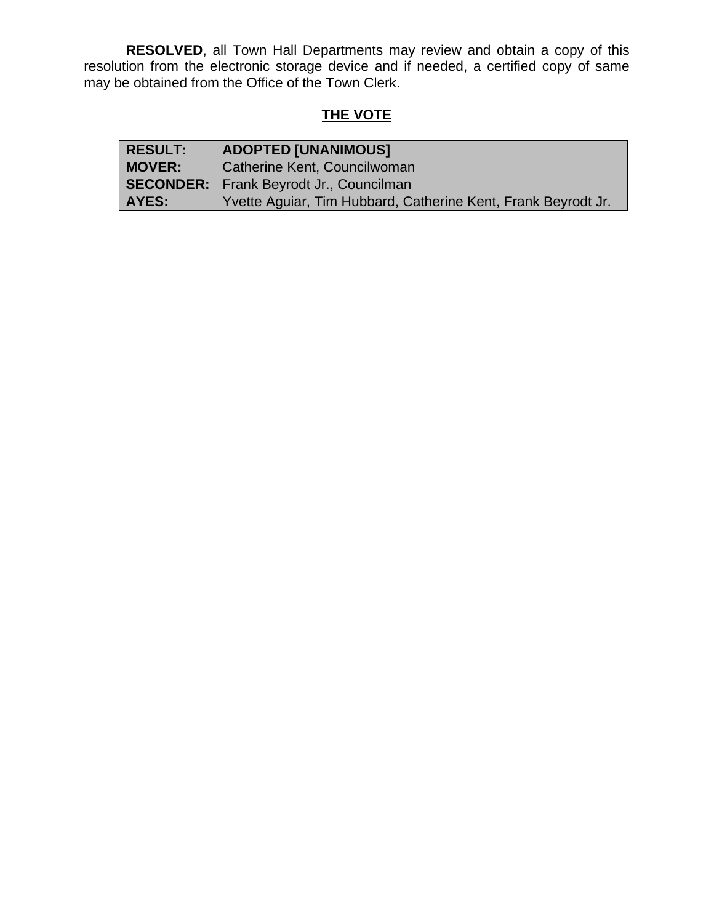**RESOLVED**, all Town Hall Departments may review and obtain a copy of this resolution from the electronic storage device and if needed, a certified copy of same may be obtained from the Office of the Town Clerk.

## **THE VOTE**

| <b>RESULT:</b> | <b>ADOPTED [UNANIMOUS]</b>                                    |
|----------------|---------------------------------------------------------------|
| <b>MOVER:</b>  | Catherine Kent, Councilwoman                                  |
|                | <b>SECONDER:</b> Frank Beyrodt Jr., Councilman                |
| AYES:          | Yvette Aguiar, Tim Hubbard, Catherine Kent, Frank Beyrodt Jr. |